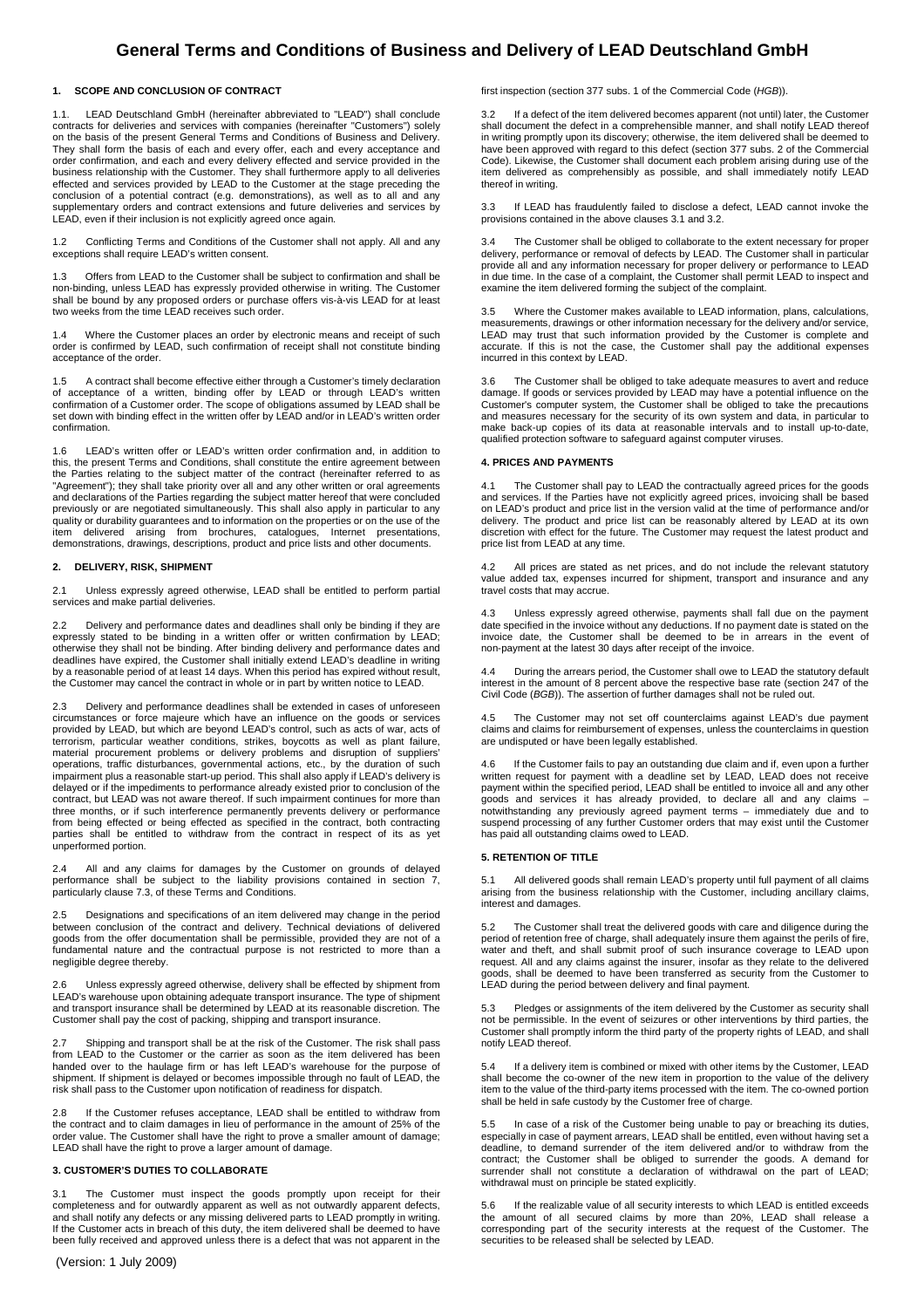# **General Terms and Conditions of Business and Delivery of LEAD Deutschland GmbH**

## **1. SCOPE AND CONCLUSION OF CONTRACT**

1.1. LEAD Deutschland GmbH (hereinafter abbreviated to "LEAD") shall conclude contracts for deliveries and services with companies (hereinafter "Customers") solely on the basis of the present General Terms and Conditions of Business and Delivery. They shall form the basis of each and every offer, each and every acceptance and order confirmation, and each and every delivery effected and service provided in the business relationship with the Customer. They shall furthermore apply to all deliveries effected and services provided by LEAD to the Customer at the stage preceding the conclusion of a potential contract (e.g. demonstrations), as well as to all and any supplementary orders and contract extensions and future deliveries and services by LEAD, even if their inclusion is not explicitly agreed once again.

1.2 Conflicting Terms and Conditions of the Customer shall not apply. All and any exceptions shall require LEAD's written consent.

1.3 Offers from LEAD to the Customer shall be subject to confirmation and shall be<br>non-binding, unless LEAD has expressly provided otherwise in writing. The Customer<br>shall be bound by any proposed orders or purchase offers two weeks from the time LEAD receives such order.

1.4 Where the Customer places an order by electronic means and receipt of such order is confirmed by LEAD, such confirmation of receipt shall not constitute binding acceptance of the order.

1.5 A contract shall become effective either through a Customer's timely declaration of acceptance of a written, binding offer by LEAD or through LEAD's written confirmation of a Customer order. The scope of obligations assumed by LEAD shall be set down with binding effect in the written offer by LEAD and/or in LEAD's written order confirmation.

1.6 LEAD's written offer or LEAD's written order confirmation and, in addition to this, the present Terms and Conditions, shall constitute the entire agreement between the Parties relating to the subject matter of the contract (hereinafter referred to as<br>"Agreement"); they shall take priority over all and any other written or oral agreements<br>and declarations of the Parties regarding the previously or are negotiated simultaneously. This shall also apply in particular to any quality or durability guarantees and to information on the properties or on the use of the item delivered arising from brochures, catalogues, Internet presentations, demonstrations, drawings, descriptions, product and price lists and other documents.

# **2. DELIVERY, RISK, SHIPMENT**

2.1 Unless expressly agreed otherwise, LEAD shall be entitled to perform partial services and make partial deliveries.

2.2 Delivery and performance dates and deadlines shall only be binding if they are expressly stated to be binding in a written offer or written confirmation by LEAD; otherwise they shall not be binding. After binding delivery and performance dates and deadlines have expired, the Customer shall initially extend LEAD's deadline in writing by a reasonable period of at least 14 days. When this period has expired without result, the Customer may cancel the contract in whole or in part by written notice to LEAD.

2.3 Delivery and performance deadlines shall be extended in cases of unforeseen circumstances or force majeure which have an influence on the goods or services provided by LEAD, but which are beyond LEAD's control, such as acts of war, acts of terrorism, particular weather conditions, strikes, boycotts as well as plant failure, material procurement problems or delivery problems and disruption of suppliers' operations, traffic disturbances, governmental actions, etc., by the duration of such impairment plus a reasonable start-up period. This shall also apply if LEAD's delivery is delayed or if the impediments to performance already existed prior to conclusion of the contract, but LEAD was not aware thereof. If such impairment continues for more than three months, or if such interference permanently prevents delivery or performance from being effected or being effected as specified in the contract, both contracting parties shall be entitled to withdraw from the contract in respect of its as yet unperformed portion.

2.4 All and any claims for damages by the Customer on grounds of delayed performance shall be subject to the liability provisions contained in section 7, particularly clause 7.3, of these Terms and Conditions.

Designations and specifications of an item delivered may change in the period between conclusion of the contract and delivery. Technical deviations of delivered<br>goods from the offer documentation shall be permissible, provided they are not of a<br>fundamental nature and the contractual purpose is not r negligible degree thereby.

2.6 Unless expressly agreed otherwise, delivery shall be effected by shipment from LEAD's warehouse upon obtaining adequate transport insurance. The type of shipment and transport insurance shall be determined by LEAD at its reasonable discretion. The Customer shall pay the cost of packing, shipping and transport insurance.

2.7 Shipping and transport shall be at the risk of the Customer. The risk shall pass from LEAD to the Customer or the carrier as soon as the item delivered has been handed over to the haulage firm or has left LEAD's warehouse for the purpose of shipment. If shipment is delayed or becomes impossible through no fault of LEAD, the risk shall pass to the Customer upon notification of readiness for dispatch.

2.8 If the Customer refuses acceptance, LEAD shall be entitled to withdraw from the contract and to claim damages in lieu of performance in the amount of 25% of the order value. The Customer shall have the right to prove a smaller amount of damage; LEAD shall have the right to prove a larger amount of damage.

# **3. CUSTOMER'S DUTIES TO COLLABORATE**

3.1 The Customer must inspect the goods promptly upon receipt for their completeness and for outwardly apparent as well as not outwardly apparent defects, and shall notify any defects or any missing delivered parts to LEAD promptly in writing. If the Customer acts in breach of this duty, the item delivered shall be deemed to have been fully received and approved unless there is a defect that was not apparent in the

first inspection (section 377 subs. 1 of the Commercial Code (HGB)).

3.2 If a defect of the item delivered becomes apparent (not until) later, the Customer shall document the defect in a comprehensible manner, and shall notify LEAD thereof in writing promptly upon its discovery; otherwise, the item delivered shall be deemed to have been approved with regard to this defect (section 377 subs. 2 of the Commercial Code). Likewise, the Customer shall document each problem arising during use of the item delivered as comprehensibly as possible, and shall immediately notify LEAD thereof in writing.

3.3 If LEAD has fraudulently failed to disclose a defect, LEAD cannot invoke the provisions contained in the above clauses 3.1 and 3.2.

3.4 The Customer shall be obliged to collaborate to the extent necessary for proper delivery, performance or removal of defects by LEAD. The Customer shall in particular provide all and any information necessary for proper delivery or performance to LEAD in due time. In the case of a complaint, the Customer shall permit LEAD to inspect and examine the item delivered forming the subject of the complaint.

3.5 Where the Customer makes available to LEAD information, plans, calculations, measurements, drawings or other information necessary for the delivery and/or service, LEAD may trust that such information provided by the Customer is complete and accurate. If this is not the case, the Customer shall pay the additional expenses incurred in this context by LEAD.

3.6 The Customer shall be obliged to take adequate measures to avert and reduce damage. If goods or services provided by LEAD may have a potential influence on the Customer's computer system, the Customer shall be obliged to take the precautions and measures necessary for the security of its own system and data, in particular to make back-up copies of its data at reasonable intervals and to install up-to-date, qualified protection software to safeguard against computer viruses.

#### **4. PRICES AND PAYMENTS**

4.1 The Customer shall pay to LEAD the contractually agreed prices for the goods and services. If the Parties have not explicitly agreed prices, invoicing shall be based on LEAD's product and price list in the version valid at the time of performance and/or delivery. The product and price list can be reasonably altered by LEAD at its own discretion with effect for the future. The Customer may request the latest product and price list from LEAD at any time.

4.2 All prices are stated as net prices, and do not include the relevant statutory value added tax, expenses incurred for shipment, transport and insurance and any travel costs that may accrue.

Unless expressly agreed otherwise, payments shall fall due on the payment date specified in the invoice without any deductions. If no payment date is stated on the invoice date, the Customer shall be deemed to be in arrears in the event of non-payment at the latest 30 days after receipt of the invoice.

4.4 During the arrears period, the Customer shall owe to LEAD the statutory default interest in the amount of 8 percent above the respective base rate (section 247 of the Civil Code (BGB)). The assertion of further damages shall not be ruled out.

4.5 The Customer may not set off counterclaims against LEAD's due payment claims and claims for reimbursement of expenses, unless the counterclaims in question are undisputed or have been legally established.

4.6 If the Customer fails to pay an outstanding due claim and if, even upon a further written request for payment with a deadline set by LEAD, LEAD does not receive payment within the specified period, LEAD shall be entitled to invoice all and any other goods and services it has already provided, to declare all and any claims – notwithstanding any previously agreed payment terms – immediately due and to suspend processing of any further Customer orders that may exist until the Customer has paid all outstanding claims owed to LEAD.

#### **5. RETENTION OF TITLE**

All delivered goods shall remain LEAD's property until full payment of all claims arising from the business relationship with the Customer, including ancillary claims, interest and damages.

5.2 The Customer shall treat the delivered goods with care and diligence during the period of retention free of charge, shall adequately insure them against the perils of fire, water and theft, and shall submit proof of such insurance coverage to LEAD upon request. All and any claims against the insurer, insofar as they relate to the delivered goods, shall be deemed to have been transferred as security from the Customer to LEAD during the period between delivery and final payment.

5.3 Pledges or assignments of the item delivered by the Customer as security shall not be permissible. In the event of seizures or other interventions by third parties, the Customer shall promptly inform the third party of the property rights of LEAD, and shall notify LEAD thereof.

If a delivery item is combined or mixed with other items by the Customer, LEAD shall become the co-owner of the new item in proportion to the value of the delivery item to the value of the third-party items processed with the item. The co-owned portion shall be held in safe custody by the Customer free of charge.

In case of a risk of the Customer being unable to pay or breaching its duties, especially in case of payment arrears, LEAD shall be entitled, even without having set a deadline, to demand surrender of the item delivered and/or to withdraw from the contract; the Customer shall be obliged to surrender the goods. A demand for surrender shall not constitute a declaration of withdrawal on the part of LEAD; surfact shall not consider a declaration of withdrawal must on principle be stated explicitly.

5.6 If the realizable value of all security interests to which LEAD is entitled exceeds<br>the amount of all secured claims by more than 20%, LEAD shall release a<br>corresponding part of the security interests at the request of securities to be released shall be selected by LEAD.